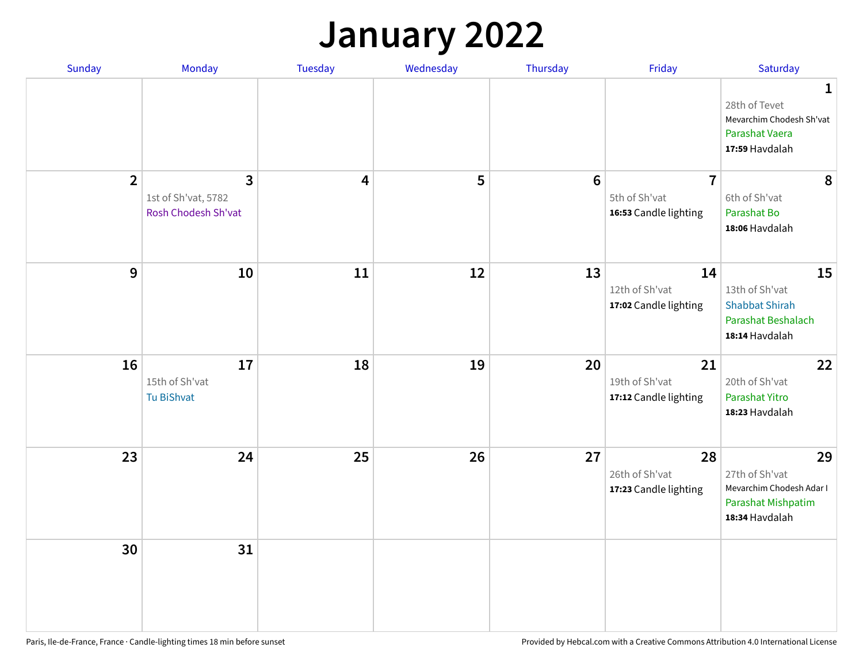### **January 2022**

| Sunday         | Monday                                                     | <b>Tuesday</b> | Wednesday | Thursday | Friday                                                   | Saturday                                                                                      |
|----------------|------------------------------------------------------------|----------------|-----------|----------|----------------------------------------------------------|-----------------------------------------------------------------------------------------------|
|                |                                                            |                |           |          |                                                          | $\mathbf{1}$<br>28th of Tevet<br>Mevarchim Chodesh Sh'vat<br>Parashat Vaera<br>17:59 Havdalah |
| $\overline{2}$ | $\mathbf{3}$<br>1st of Sh'vat, 5782<br>Rosh Chodesh Sh'vat | 4              | 5         | 6        | $\overline{7}$<br>5th of Sh'vat<br>16:53 Candle lighting | 8<br>6th of Sh'vat<br>Parashat Bo<br>18:06 Havdalah                                           |
| 9              | 10                                                         | 11             | 12        | 13       | 14<br>12th of Sh'vat<br>17:02 Candle lighting            | 15<br>13th of Sh'vat<br><b>Shabbat Shirah</b><br><b>Parashat Beshalach</b><br>18:14 Havdalah  |
| 16             | 17<br>15th of Sh'vat<br>Tu BiShvat                         | 18             | 19        | 20       | 21<br>19th of Sh'vat<br>17:12 Candle lighting            | 22<br>20th of Sh'vat<br>Parashat Yitro<br>18:23 Havdalah                                      |
| 23             | 24                                                         | 25             | 26        | 27       | 28<br>26th of Sh'vat<br>17:23 Candle lighting            | 29<br>27th of Sh'vat<br>Mevarchim Chodesh Adar I<br>Parashat Mishpatim<br>18:34 Havdalah      |
| 30             | 31                                                         |                |           |          |                                                          |                                                                                               |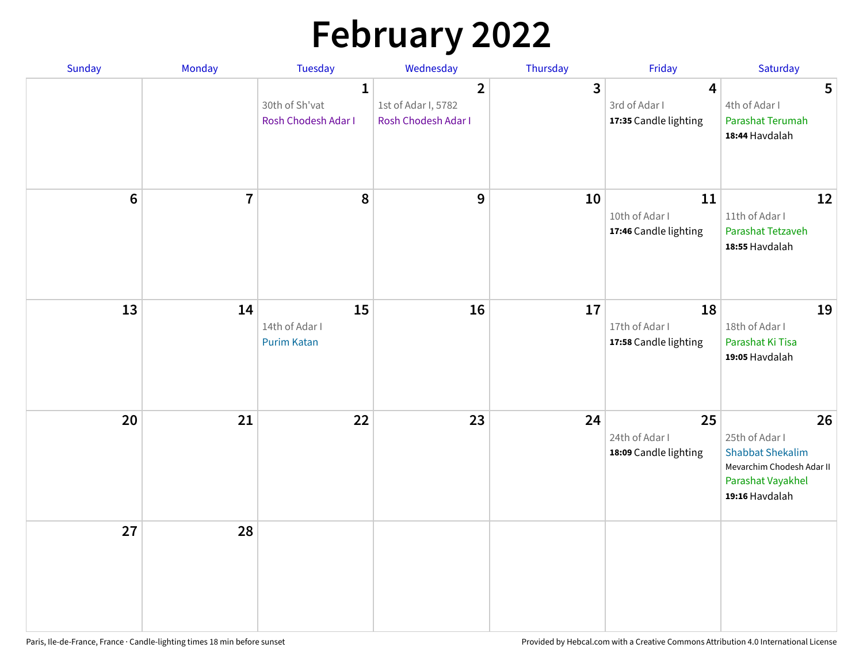# **February 2022**

| Sunday         | Monday         | <b>Tuesday</b>                                        | Wednesday                                                             | Thursday     | Friday                                                            | Saturday                                                                                                            |
|----------------|----------------|-------------------------------------------------------|-----------------------------------------------------------------------|--------------|-------------------------------------------------------------------|---------------------------------------------------------------------------------------------------------------------|
|                |                | $\mathbf{1}$<br>30th of Sh'vat<br>Rosh Chodesh Adar I | $\overline{\mathbf{2}}$<br>1st of Adar I, 5782<br>Rosh Chodesh Adar I | $\mathbf{3}$ | $\overline{\mathbf{4}}$<br>3rd of Adar I<br>17:35 Candle lighting | 5<br>4th of Adar I<br>Parashat Terumah<br>18:44 Havdalah                                                            |
| $6\phantom{a}$ | $\overline{7}$ | 8                                                     | 9                                                                     | 10           | 11<br>10th of Adar I<br>17:46 Candle lighting                     | 12<br>11th of Adar I<br>Parashat Tetzaveh<br>18:55 Havdalah                                                         |
| 13             | 14             | 15<br>14th of Adar I<br><b>Purim Katan</b>            | 16                                                                    | 17           | 18<br>17th of Adar I<br>17:58 Candle lighting                     | 19<br>18th of Adar I<br>Parashat Ki Tisa<br>19:05 Havdalah                                                          |
| 20             | 21             | 22                                                    | 23                                                                    | 24           | 25<br>24th of Adar I<br>18:09 Candle lighting                     | 26<br>25th of Adar I<br><b>Shabbat Shekalim</b><br>Mevarchim Chodesh Adar II<br>Parashat Vayakhel<br>19:16 Havdalah |
| 27             | 28             |                                                       |                                                                       |              |                                                                   |                                                                                                                     |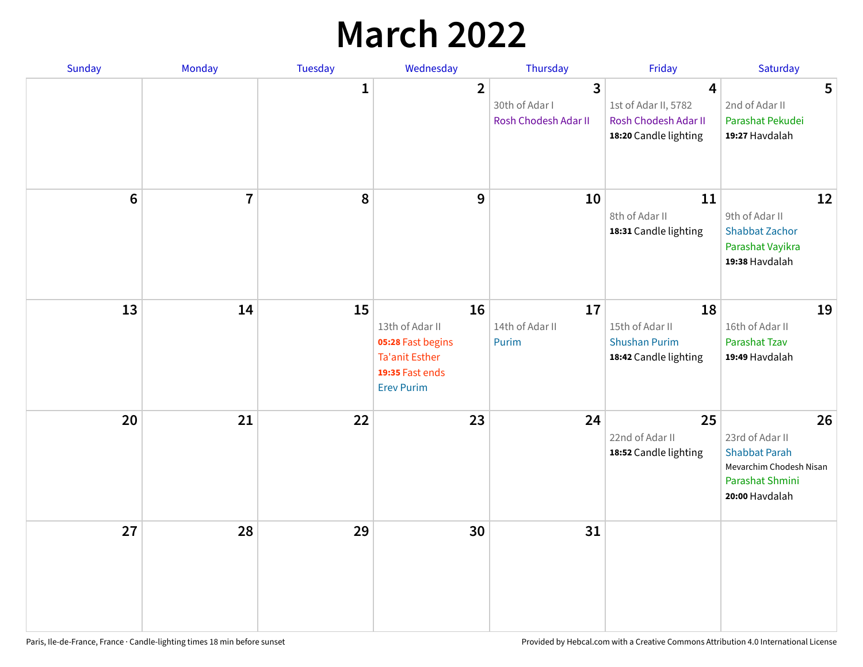# **March 2022**

| Sunday         | Monday         | Tuesday      | Wednesday                                                                                                   | Thursday                                    | Friday                                                                     | Saturday                                                                                                      |
|----------------|----------------|--------------|-------------------------------------------------------------------------------------------------------------|---------------------------------------------|----------------------------------------------------------------------------|---------------------------------------------------------------------------------------------------------------|
|                |                | $\mathbf{1}$ | $\overline{2}$                                                                                              | 3<br>30th of Adar I<br>Rosh Chodesh Adar II | 4<br>1st of Adar II, 5782<br>Rosh Chodesh Adar II<br>18:20 Candle lighting | 5<br>2nd of Adar II<br>Parashat Pekudei<br>19:27 Havdalah                                                     |
| $6\phantom{1}$ | $\overline{7}$ | 8            | 9                                                                                                           | 10                                          | 11<br>8th of Adar II<br>18:31 Candle lighting                              | 12<br>9th of Adar II<br><b>Shabbat Zachor</b><br>Parashat Vayikra<br>19:38 Havdalah                           |
| 13             | 14             | 15           | 16<br>13th of Adar II<br>05:28 Fast begins<br><b>Ta'anit Esther</b><br>19:35 Fast ends<br><b>Erev Purim</b> | 17<br>14th of Adar II<br>Purim              | 18<br>15th of Adar II<br><b>Shushan Purim</b><br>18:42 Candle lighting     | 19<br>16th of Adar II<br><b>Parashat Tzav</b><br>19:49 Havdalah                                               |
| 20             | 21             | 22           | 23                                                                                                          | 24                                          | 25<br>22nd of Adar II<br>18:52 Candle lighting                             | 26<br>23rd of Adar II<br><b>Shabbat Parah</b><br>Mevarchim Chodesh Nisan<br>Parashat Shmini<br>20:00 Havdalah |
| 27             | 28             | 29           | 30                                                                                                          | 31                                          |                                                                            |                                                                                                               |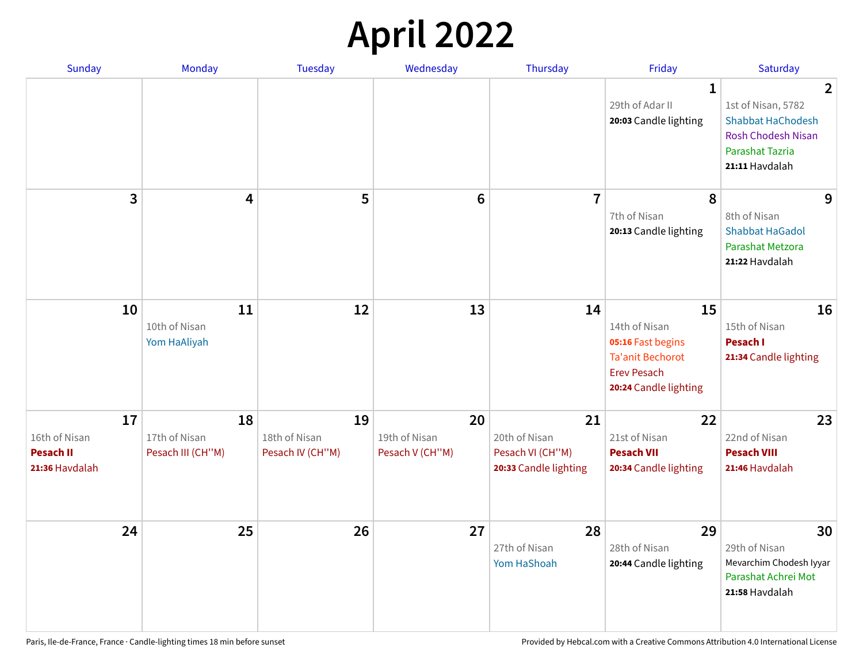# **April 2022**

| <b>Sunday</b>                                             | <b>Monday</b>                            | <b>Tuesday</b>                          | Wednesday                              | Thursday                                                         | Friday                                                                                                             | Saturday                                                                                                                                  |
|-----------------------------------------------------------|------------------------------------------|-----------------------------------------|----------------------------------------|------------------------------------------------------------------|--------------------------------------------------------------------------------------------------------------------|-------------------------------------------------------------------------------------------------------------------------------------------|
|                                                           |                                          |                                         |                                        |                                                                  | $\mathbf 1$<br>29th of Adar II<br>20:03 Candle lighting                                                            | $\overline{2}$<br>1st of Nisan, 5782<br><b>Shabbat HaChodesh</b><br><b>Rosh Chodesh Nisan</b><br><b>Parashat Tazria</b><br>21:11 Havdalah |
| 3                                                         | 4                                        | 5                                       | $6\phantom{1}$                         | $\overline{7}$                                                   | 8<br>7th of Nisan<br>20:13 Candle lighting                                                                         | 9<br>8th of Nisan<br><b>Shabbat HaGadol</b><br>Parashat Metzora<br>21:22 Havdalah                                                         |
| 10                                                        | 11<br>10th of Nisan<br>Yom HaAliyah      | 12                                      | 13                                     | 14                                                               | 15<br>14th of Nisan<br>05:16 Fast begins<br><b>Ta'anit Bechorot</b><br><b>Erev Pesach</b><br>20:24 Candle lighting | 16<br>15th of Nisan<br><b>Pesach I</b><br>21:34 Candle lighting                                                                           |
| 17<br>16th of Nisan<br><b>Pesach II</b><br>21:36 Havdalah | 18<br>17th of Nisan<br>Pesach III (CH"M) | 19<br>18th of Nisan<br>Pesach IV (CH"M) | 20<br>19th of Nisan<br>Pesach V (CH"M) | 21<br>20th of Nisan<br>Pesach VI (CH"M)<br>20:33 Candle lighting | 22<br>21st of Nisan<br><b>Pesach VII</b><br>20:34 Candle lighting                                                  | 23<br>22nd of Nisan<br><b>Pesach VIII</b><br>21:46 Havdalah                                                                               |
| 24                                                        | 25                                       | 26                                      | 27                                     | 28<br>27th of Nisan<br>Yom HaShoah                               | 29<br>28th of Nisan<br>20:44 Candle lighting                                                                       | 30<br>29th of Nisan<br>Mevarchim Chodesh Iyyar<br>Parashat Achrei Mot<br>21:58 Havdalah                                                   |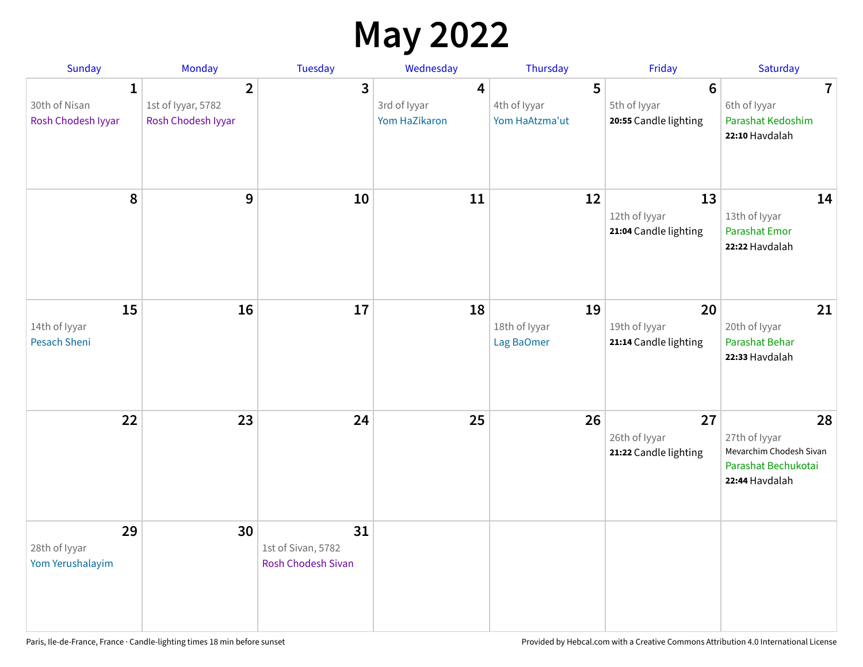## **May 2022**

| <b>Sunday</b>                                       | Monday                                                     | <b>Tuesday</b>                                 | Wednesday                          | Thursday                            | Friday                                                  | Saturday                                                                                |
|-----------------------------------------------------|------------------------------------------------------------|------------------------------------------------|------------------------------------|-------------------------------------|---------------------------------------------------------|-----------------------------------------------------------------------------------------|
| $\mathbf{1}$<br>30th of Nisan<br>Rosh Chodesh Iyyar | $\overline{2}$<br>1st of Iyyar, 5782<br>Rosh Chodesh Iyyar | $\overline{3}$                                 | 4<br>3rd of lyyar<br>Yom HaZikaron | 5<br>4th of Iyyar<br>Yom HaAtzma'ut | $6\phantom{1}$<br>5th of Iyyar<br>20:55 Candle lighting | $\overline{7}$<br>6th of Iyyar<br>Parashat Kedoshim<br>22:10 Havdalah                   |
| 8                                                   | $\mathbf{9}$                                               | 10                                             | 11                                 | 12                                  | 13<br>12th of Iyyar<br>21:04 Candle lighting            | 14<br>13th of Iyyar<br><b>Parashat Emor</b><br>22:22 Havdalah                           |
| 15<br>14th of Iyyar<br>Pesach Sheni                 | 16                                                         | 17                                             | 18                                 | 19<br>18th of Iyyar<br>Lag BaOmer   | 20<br>19th of Iyyar<br>21:14 Candle lighting            | 21<br>20th of Iyyar<br>Parashat Behar<br>22:33 Havdalah                                 |
| 22                                                  | 23                                                         | 24                                             | 25                                 | 26                                  | 27<br>26th of Iyyar<br>21:22 Candle lighting            | 28<br>27th of Iyyar<br>Mevarchim Chodesh Sivan<br>Parashat Bechukotai<br>22:44 Havdalah |
| 29<br>28th of Iyyar<br>Yom Yerushalayim             | 30                                                         | 31<br>1st of Sivan, 5782<br>Rosh Chodesh Sivan |                                    |                                     |                                                         |                                                                                         |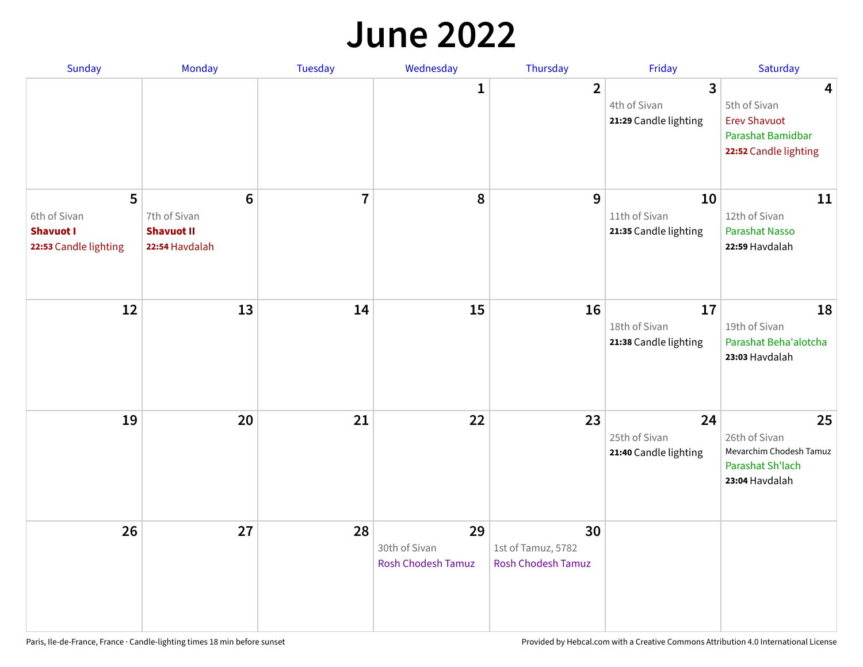#### **June 2022**

| Sunday                                                         | Monday                                                                 | <b>Tuesday</b> | Wednesday                                        | Thursday                                              | Friday                                       | Saturday                                                                               |
|----------------------------------------------------------------|------------------------------------------------------------------------|----------------|--------------------------------------------------|-------------------------------------------------------|----------------------------------------------|----------------------------------------------------------------------------------------|
|                                                                |                                                                        |                | 1                                                | $\overline{2}$                                        | 3<br>4th of Sivan<br>21:29 Candle lighting   | 4<br>5th of Sivan<br><b>Erev Shavuot</b><br>Parashat Bamidbar<br>22:52 Candle lighting |
| 5<br>6th of Sivan<br><b>Shavuot I</b><br>22:53 Candle lighting | $6\phantom{1}6$<br>7th of Sivan<br><b>Shavuot II</b><br>22:54 Havdalah | $\overline{7}$ | 8                                                | 9                                                     | 10<br>11th of Sivan<br>21:35 Candle lighting | 11<br>12th of Sivan<br><b>Parashat Nasso</b><br>22:59 Havdalah                         |
| 12                                                             | 13                                                                     | 14             | 15                                               | 16                                                    | 17<br>18th of Sivan<br>21:38 Candle lighting | 18<br>19th of Sivan<br>Parashat Beha'alotcha<br>23:03 Havdalah                         |
| 19                                                             | 20                                                                     | 21             | 22                                               | 23                                                    | 24<br>25th of Sivan<br>21:40 Candle lighting | 25<br>26th of Sivan<br>Mevarchim Chodesh Tamuz<br>Parashat Sh'lach<br>23:04 Havdalah   |
| 26                                                             | 27                                                                     | 28             | 29<br>30th of Sivan<br><b>Rosh Chodesh Tamuz</b> | 30<br>1st of Tamuz, 5782<br><b>Rosh Chodesh Tamuz</b> |                                              |                                                                                        |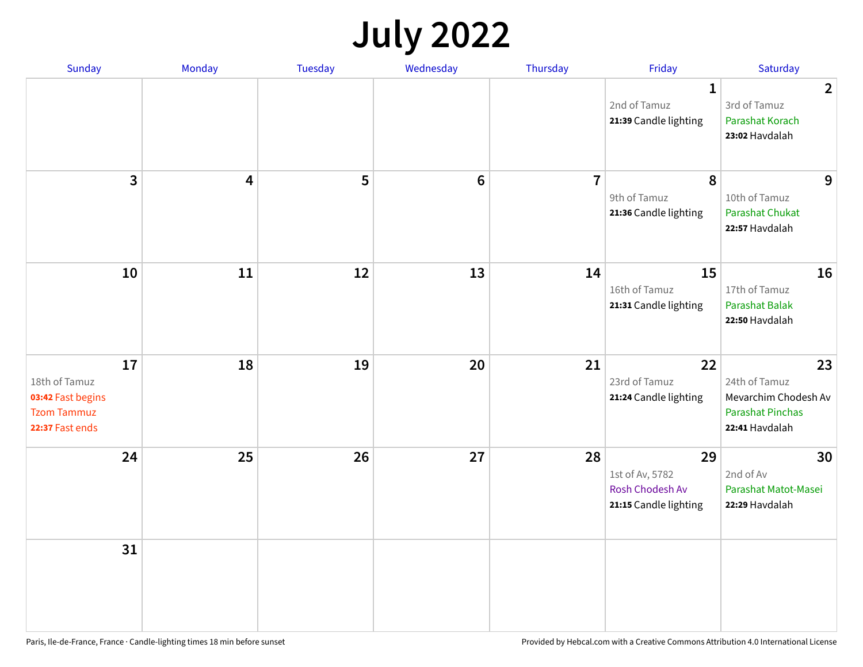# **July 2022**

| <b>Sunday</b>                                                               | Monday              | <b>Tuesday</b> | Wednesday      | Thursday       | Friday                                                            | Saturday                                                                                 |
|-----------------------------------------------------------------------------|---------------------|----------------|----------------|----------------|-------------------------------------------------------------------|------------------------------------------------------------------------------------------|
|                                                                             |                     |                |                |                | $\mathbf{1}$<br>2nd of Tamuz<br>21:39 Candle lighting             | $\overline{2}$<br>3rd of Tamuz<br><b>Parashat Korach</b><br>23:02 Havdalah               |
|                                                                             | $\overline{3}$<br>4 | 5              | $6\phantom{1}$ | $\overline{7}$ | $\boldsymbol{8}$<br>9th of Tamuz<br>21:36 Candle lighting         | 9<br>10th of Tamuz<br>Parashat Chukat<br>22:57 Havdalah                                  |
|                                                                             | 10<br>11            | 12             | 13             | 14             | 15<br>16th of Tamuz<br>21:31 Candle lighting                      | 16<br>17th of Tamuz<br><b>Parashat Balak</b><br>22:50 Havdalah                           |
| 18th of Tamuz<br>03:42 Fast begins<br><b>Tzom Tammuz</b><br>22:37 Fast ends | 17<br>18            | 19             | 20             | 21             | 22<br>23rd of Tamuz<br>21:24 Candle lighting                      | 23<br>24th of Tamuz<br>Mevarchim Chodesh Av<br><b>Parashat Pinchas</b><br>22:41 Havdalah |
|                                                                             | 24<br>25            | 26             | 27             | 28             | 29<br>1st of Av, 5782<br>Rosh Chodesh Av<br>21:15 Candle lighting | 30<br>2nd of Av<br>Parashat Matot-Masei<br>22:29 Havdalah                                |
|                                                                             | 31                  |                |                |                |                                                                   |                                                                                          |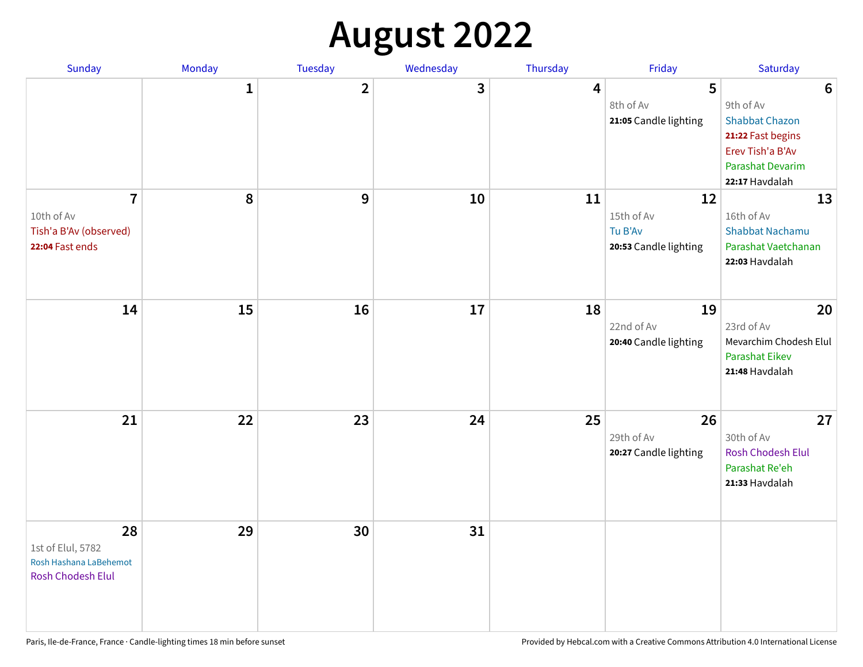# **August 2022**

| Sunday                                                                        | <b>Monday</b> | Tuesday        | Wednesday | Thursday | Friday                                               | Saturday                                                                                                                                    |
|-------------------------------------------------------------------------------|---------------|----------------|-----------|----------|------------------------------------------------------|---------------------------------------------------------------------------------------------------------------------------------------------|
|                                                                               | $\mathbf{1}$  | $\overline{2}$ | 3         | 4        | 5<br>8th of Av<br>21:05 Candle lighting              | $6\phantom{1}6$<br>9th of Av<br><b>Shabbat Chazon</b><br>21:22 Fast begins<br>Erev Tish'a B'Av<br><b>Parashat Devarim</b><br>22:17 Havdalah |
| $\overline{7}$<br>10th of Av<br>Tish'a B'Av (observed)<br>22:04 Fast ends     | 8             | 9              | 10        | 11       | 12<br>15th of Av<br>Tu B'Av<br>20:53 Candle lighting | 13<br>16th of Av<br><b>Shabbat Nachamu</b><br>Parashat Vaetchanan<br>22:03 Havdalah                                                         |
| 14                                                                            | 15            | 16             | 17        | 18       | 19<br>22nd of Av<br>20:40 Candle lighting            | 20<br>23rd of Av<br>Mevarchim Chodesh Elul<br><b>Parashat Eikev</b><br>21:48 Havdalah                                                       |
| 21                                                                            | 22            | 23             | 24        | 25       | 26<br>29th of Av<br>20:27 Candle lighting            | 27<br>30th of Av<br><b>Rosh Chodesh Elul</b><br>Parashat Re'eh<br>21:33 Havdalah                                                            |
| 28<br>1st of Elul, 5782<br>Rosh Hashana LaBehemot<br><b>Rosh Chodesh Elul</b> | 29            | 30             | 31        |          |                                                      |                                                                                                                                             |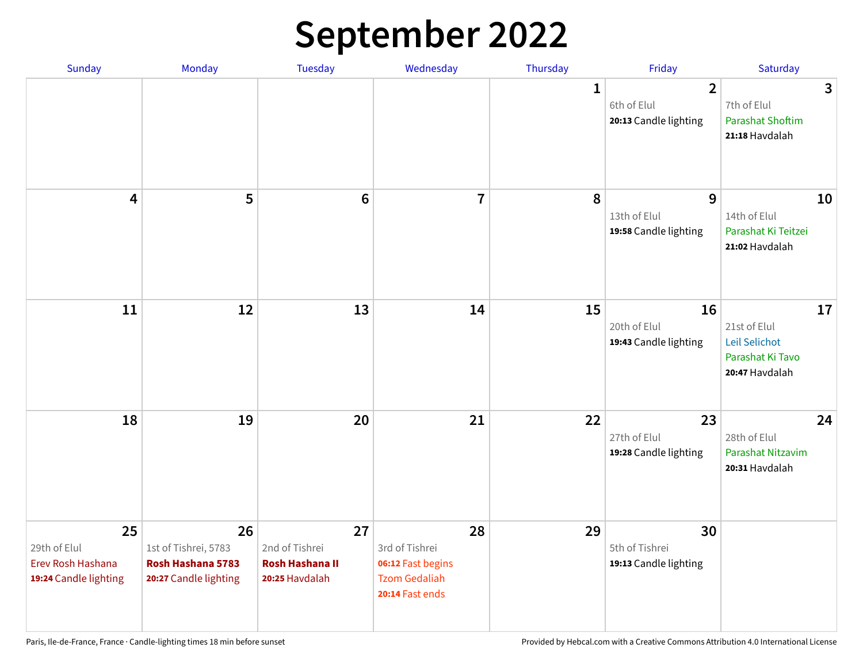# **September 2022**

| Sunday                                                           | Monday                                                                   | <b>Tuesday</b>                                                   | Wednesday                                                                            | Thursday | Friday                                                 | Saturday                                                                  |
|------------------------------------------------------------------|--------------------------------------------------------------------------|------------------------------------------------------------------|--------------------------------------------------------------------------------------|----------|--------------------------------------------------------|---------------------------------------------------------------------------|
|                                                                  |                                                                          |                                                                  |                                                                                      | 1        | $\overline{2}$<br>6th of Elul<br>20:13 Candle lighting | 3<br>7th of Elul<br><b>Parashat Shoftim</b><br>21:18 Havdalah             |
| $\overline{\mathbf{4}}$                                          | 5                                                                        | $6\phantom{1}6$                                                  | $\overline{7}$                                                                       | 8        | 9<br>13th of Elul<br>19:58 Candle lighting             | 10<br>14th of Elul<br>Parashat Ki Teitzei<br>21:02 Havdalah               |
| 11                                                               | 12                                                                       | 13                                                               | 14                                                                                   | 15       | 16<br>20th of Elul<br>19:43 Candle lighting            | 17<br>21st of Elul<br>Leil Selichot<br>Parashat Ki Tavo<br>20:47 Havdalah |
| 18                                                               | 19                                                                       | 20                                                               | 21                                                                                   | 22       | 23<br>27th of Elul<br>19:28 Candle lighting            | 24<br>28th of Elul<br>Parashat Nitzavim<br>20:31 Havdalah                 |
| 25<br>29th of Elul<br>Erev Rosh Hashana<br>19:24 Candle lighting | 26<br>1st of Tishrei, 5783<br>Rosh Hashana 5783<br>20:27 Candle lighting | 27<br>2nd of Tishrei<br><b>Rosh Hashana II</b><br>20:25 Havdalah | 28<br>3rd of Tishrei<br>06:12 Fast begins<br><b>Tzom Gedaliah</b><br>20:14 Fast ends | 29       | 30<br>5th of Tishrei<br>19:13 Candle lighting          |                                                                           |

Paris, Ile-de-France, France · Candle-lighting times 18 min before sunset **Provided by Hebcal.com with a Creative Commons Attribution 4.0 International License**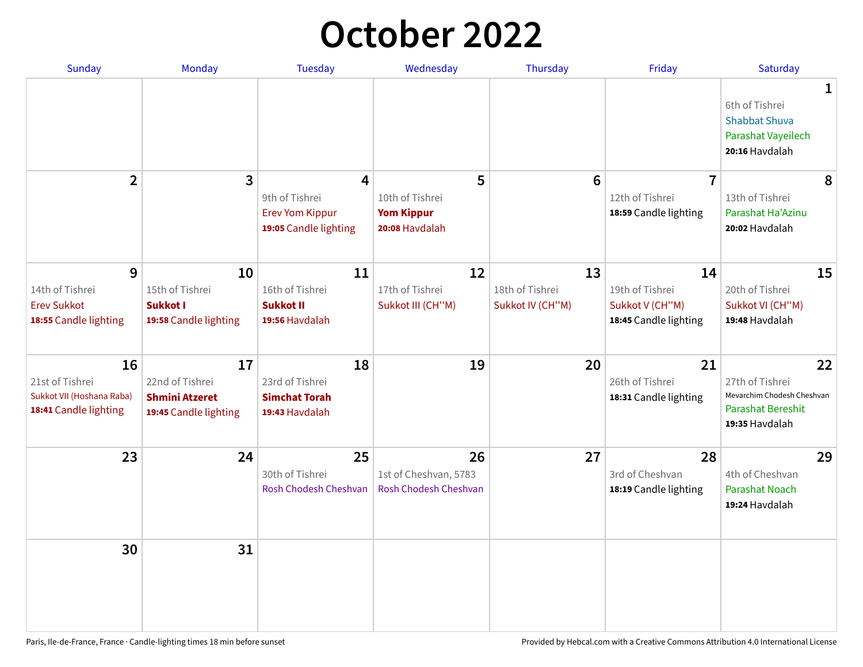### **October 2022**

| <b>Sunday</b>                                                               | Monday                                                                  | <b>Tuesday</b>                                                         | Wednesday                                                   | Thursday                                  | Friday                                                            | Saturday                                                                                          |
|-----------------------------------------------------------------------------|-------------------------------------------------------------------------|------------------------------------------------------------------------|-------------------------------------------------------------|-------------------------------------------|-------------------------------------------------------------------|---------------------------------------------------------------------------------------------------|
|                                                                             |                                                                         |                                                                        |                                                             |                                           |                                                                   | $\mathbf 1$<br>6th of Tishrei<br><b>Shabbat Shuva</b><br>Parashat Vayeilech<br>20:16 Havdalah     |
| $\overline{2}$                                                              | $\overline{\mathbf{3}}$                                                 | 4<br>9th of Tishrei<br><b>Erev Yom Kippur</b><br>19:05 Candle lighting | 5<br>10th of Tishrei<br><b>Yom Kippur</b><br>20:08 Havdalah | $6\phantom{1}6$                           | $\overline{7}$<br>12th of Tishrei<br>18:59 Candle lighting        | 8<br>13th of Tishrei<br>Parashat Ha'Azinu<br>20:02 Havdalah                                       |
| 9<br>14th of Tishrei<br><b>Erev Sukkot</b><br>18:55 Candle lighting         | 10<br>15th of Tishrei<br>Sukkot I<br>19:58 Candle lighting              | 11<br>16th of Tishrei<br><b>Sukkot II</b><br>19:56 Havdalah            | 12<br>17th of Tishrei<br>Sukkot III (CH"M)                  | 13<br>18th of Tishrei<br>Sukkot IV (CH"M) | 14<br>19th of Tishrei<br>Sukkot V (CH"M)<br>18:45 Candle lighting | 15<br>20th of Tishrei<br>Sukkot VI (CH"M)<br>19:48 Havdalah                                       |
| 16<br>21st of Tishrei<br>Sukkot VII (Hoshana Raba)<br>18:41 Candle lighting | 17<br>22nd of Tishrei<br><b>Shmini Atzeret</b><br>19:45 Candle lighting | 18<br>23rd of Tishrei<br><b>Simchat Torah</b><br>19:43 Havdalah        | 19                                                          | 20                                        | 21<br>26th of Tishrei<br>18:31 Candle lighting                    | 22<br>27th of Tishrei<br>Mevarchim Chodesh Cheshvan<br><b>Parashat Bereshit</b><br>19:35 Havdalah |
| 23                                                                          | 24                                                                      | 25<br>30th of Tishrei<br>Rosh Chodesh Cheshvan                         | 26<br>1st of Cheshvan, 5783<br>Rosh Chodesh Cheshvan        | 27                                        | 28<br>3rd of Cheshvan<br>18:19 Candle lighting                    | 29<br>4th of Cheshvan<br><b>Parashat Noach</b><br>19:24 Havdalah                                  |
| 30                                                                          | 31                                                                      |                                                                        |                                                             |                                           |                                                                   |                                                                                                   |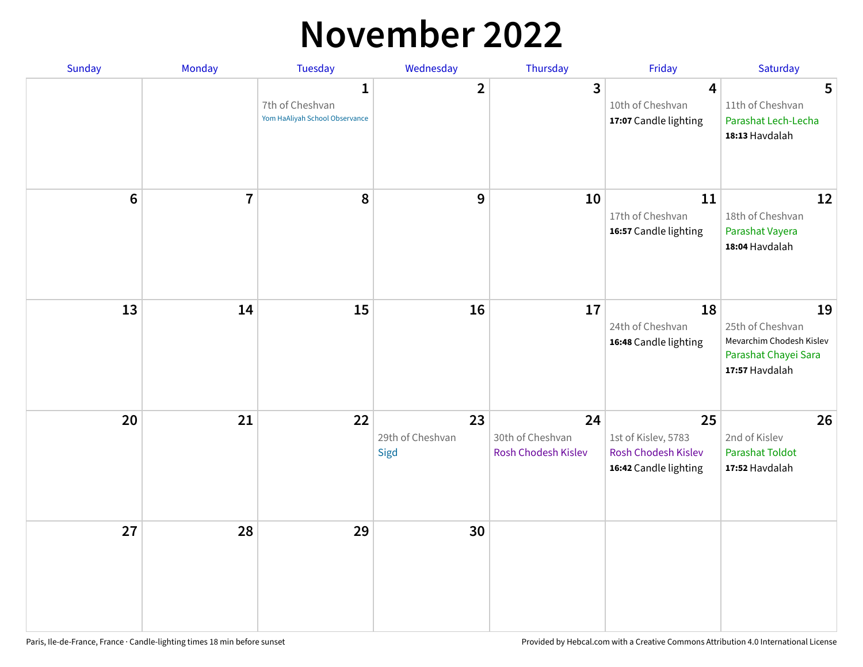### **November 2022**

| Sunday         | Monday         | <b>Tuesday</b>                                                    | Wednesday                      | Thursday                                      | Friday                                                                           | Saturday                                                                                     |
|----------------|----------------|-------------------------------------------------------------------|--------------------------------|-----------------------------------------------|----------------------------------------------------------------------------------|----------------------------------------------------------------------------------------------|
|                |                | $\mathbf{1}$<br>7th of Cheshvan<br>Yom HaAliyah School Observance | $\overline{\mathbf{2}}$        | 3                                             | 4<br>10th of Cheshvan<br>17:07 Candle lighting                                   | 5<br>11th of Cheshvan<br>Parashat Lech-Lecha<br>18:13 Havdalah                               |
| $6\phantom{1}$ | $\overline{7}$ | 8                                                                 | 9                              | 10                                            | 11<br>17th of Cheshvan<br>16:57 Candle lighting                                  | 12<br>18th of Cheshvan<br>Parashat Vayera<br>18:04 Havdalah                                  |
| 13             | 14             | 15                                                                | 16                             | 17                                            | 18<br>24th of Cheshvan<br>16:48 Candle lighting                                  | 19<br>25th of Cheshvan<br>Mevarchim Chodesh Kislev<br>Parashat Chayei Sara<br>17:57 Havdalah |
| 20             | 21             | 22                                                                | 23<br>29th of Cheshvan<br>Sigd | 24<br>30th of Cheshvan<br>Rosh Chodesh Kislev | 25<br>1st of Kislev, 5783<br><b>Rosh Chodesh Kislev</b><br>16:42 Candle lighting | 26<br>2nd of Kislev<br><b>Parashat Toldot</b><br>17:52 Havdalah                              |
| 27             | 28             | 29                                                                | 30                             |                                               |                                                                                  |                                                                                              |